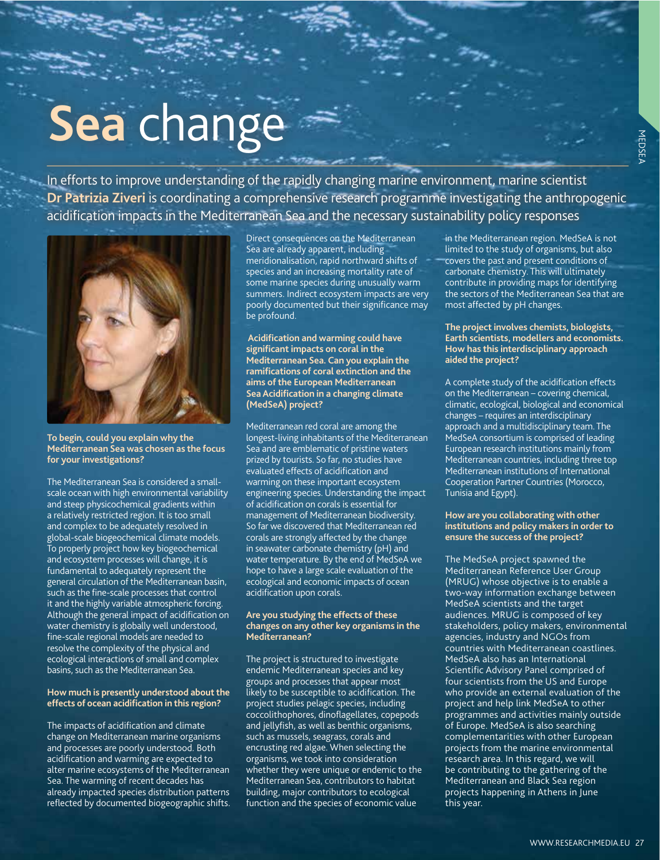# **Sea** change

In efforts to improve understanding of the rapidly changing marine environment, marine scientist **Dr Patrizia Ziveri** is coordinating a comprehensive research programme investigating the anthropogenic acidification impacts in the Mediterranean Sea and the necessary sustainability policy responses



**To begin, could you explain why the Mediterranean Sea was chosen as the focus for your investigations?** 

The Mediterranean Sea is considered a smallscale ocean with high environmental variability and steep physicochemical gradients within a relatively restricted region. It is too small and complex to be adequately resolved in global-scale biogeochemical climate models. To properly project how key biogeochemical and ecosystem processes will change, it is fundamental to adequately represent the general circulation of the Mediterranean basin, such as the fine-scale processes that control it and the highly variable atmospheric forcing. Although the general impact of acidification on water chemistry is globally well understood, fine-scale regional models are needed to resolve the complexity of the physical and ecological interactions of small and complex basins, such as the Mediterranean Sea.

#### **How much is presently understood about the effects of ocean acidification in this region?**

The impacts of acidification and climate change on Mediterranean marine organisms and processes are poorly understood. Both acidification and warming are expected to alter marine ecosystems of the Mediterranean Sea. The warming of recent decades has already impacted species distribution patterns reflected by documented biogeographic shifts.

Direct consequences on the Mediterranean Sea are already apparent, including meridionalisation, rapid northward shifts of species and an increasing mortality rate of some marine species during unusually warm summers. Indirect ecosystem impacts are very poorly documented but their significance may be profound.

 **Acidification and warming could have significant impacts on coral in the Mediterranean Sea. Can you explain the ramifications of coral extinction and the aims of the European Mediterranean Sea Acidification in a changing climate (MedSeA) project?**

Mediterranean red coral are among the longest-living inhabitants of the Mediterranean Sea and are emblematic of pristine waters prized by tourists. So far, no studies have evaluated effects of acidification and warming on these important ecosystem engineering species. Understanding the impact of acidification on corals is essential for management of Mediterranean biodiversity. So far we discovered that Mediterranean red corals are strongly affected by the change in seawater carbonate chemistry (pH) and water temperature. By the end of MedSeA we hope to have a large scale evaluation of the ecological and economic impacts of ocean acidification upon corals.

#### **Are you studying the effects of these changes on any other key organisms in the Mediterranean?**

The project is structured to investigate endemic Mediterranean species and key groups and processes that appear most likely to be susceptible to acidification. The project studies pelagic species, including coccolithophores, dinoflagellates, copepods and jellyfish, as well as benthic organisms, such as mussels, seagrass, corals and encrusting red algae. When selecting the organisms, we took into consideration whether they were unique or endemic to the Mediterranean Sea, contributors to habitat building, major contributors to ecological function and the species of economic value

in the Mediterranean region. MedSeA is not limited to the study of organisms, but also covers the past and present conditions of carbonate chemistry. This will ultimately contribute in providing maps for identifying the sectors of the Mediterranean Sea that are most affected by pH changes.

#### **The project involves chemists, biologists, Earth scientists, modellers and economists. How has this interdisciplinary approach aided the project?**

A complete study of the acidification effects on the Mediterranean – covering chemical, climatic, ecological, biological and economical changes – requires an interdisciplinary approach and a multidisciplinary team. The MedSeA consortium is comprised of leading European research institutions mainly from Mediterranean countries, including three top Mediterranean institutions of International Cooperation Partner Countries (Morocco, Tunisia and Egypt).

#### **How are you collaborating with other institutions and policy makers in order to ensure the success of the project?**

The MedSeA project spawned the Mediterranean Reference User Group (MRUG) whose objective is to enable a two-way information exchange between MedSeA scientists and the target audiences. MRUG is composed of key stakeholders, policy makers, environmental agencies, industry and NGOs from countries with Mediterranean coastlines. MedSeA also has an International Scientific Advisory Panel comprised of four scientists from the US and Europe who provide an external evaluation of the project and help link MedSeA to other programmes and activities mainly outside of Europe. MedSeA is also searching complementarities with other European projects from the marine environmental research area. In this regard, we will be contributing to the gathering of the Mediterranean and Black Sea region projects happening in Athens in June this year.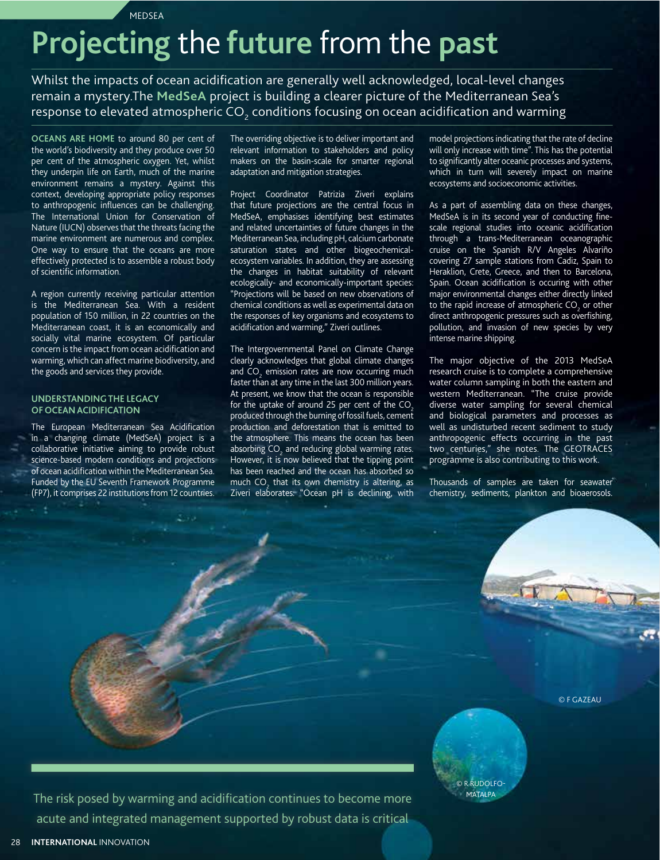**MEDSEA** 

## **Projecting** the **future** from the **past**

Whilst the impacts of ocean acidification are generally well acknowledged, local-level changes remain a mystery.The **MedSeA** project is building a clearer picture of the Mediterranean Sea's response to elevated atmospheric CO $_{_2}$  conditions focusing on ocean acidification and warming

**OCEANS ARE HOME** to around 80 per cent of the world's biodiversity and they produce over 50 per cent of the atmospheric oxygen. Yet, whilst they underpin life on Earth, much of the marine environment remains a mystery. Against this context, developing appropriate policy responses to anthropogenic influences can be challenging. The International Union for Conservation of Nature (IUCN) observes that the threats facing the marine environment are numerous and complex. One way to ensure that the oceans are more effectively protected is to assemble a robust body of scientific information.

A region currently receiving particular attention is the Mediterranean Sea. With a resident population of 150 million, in 22 countries on the Mediterranean coast, it is an economically and socially vital marine ecosystem. Of particular concern is the impact from ocean acidification and warming, which can affect marine biodiversity, and the goods and services they provide.

#### **UNDERSTANDING THE LEGACY OF OCEAN ACIDIFICATION**

The European Mediterranean Sea Acidification in a changing climate (MedSeA) project is a collaborative initiative aiming to provide robust science-based modern conditions and projections of ocean acidification within the Mediterranean Sea. Funded by the EU Seventh Framework Programme (FP7), it comprises 22 institutions from 12 countries.

The overriding objective is to deliver important and relevant information to stakeholders and policy makers on the basin-scale for smarter regional adaptation and mitigation strategies.

Project Coordinator Patrizia Ziveri explains that future projections are the central focus in MedSeA, emphasises identifying best estimates and related uncertainties of future changes in the Mediterranean Sea, including pH, calcium carbonate saturation states and other biogeochemicalecosystem variables. In addition, they are assessing the changes in habitat suitability of relevant ecologically- and economically-important species: "Projections will be based on new observations of chemical conditions as well as experimental data on the responses of key organisms and ecosystems to acidification and warming," Ziveri outlines.

The Intergovernmental Panel on Climate Change clearly acknowledges that global climate changes and  $CO<sub>2</sub>$  emission rates are now occurring much faster than at any time in the last 300 million years. At present, we know that the ocean is responsible for the uptake of around 25 per cent of the  $CO<sub>2</sub>$ produced through the burning of fossil fuels, cement production and deforestation that is emitted to the atmosphere. This means the ocean has been absorbing  $\mathsf{CO}_2$  and reducing global warming rates. However, it is now believed that the tipping point has been reached and the ocean has absorbed so much  $\mathsf{CO}_2$  that its own chemistry is altering, as Ziveri elaborates: "Ocean pH is declining, with

model projections indicating that the rate of decline will only increase with time". This has the potential to significantly alter oceanic processes and systems, which in turn will severely impact on marine ecosystems and socioeconomic activities.

As a part of assembling data on these changes, MedSeA is in its second year of conducting finescale regional studies into oceanic acidification through a trans-Mediterranean oceanographic cruise on the Spanish R/V Angeles Alvariño covering 27 sample stations from Cadiz, Spain to Heraklion, Crete, Greece, and then to Barcelona, Spain. Ocean acidification is occuring with other major environmental changes either directly linked to the rapid increase of atmospheric  $CO<sub>2</sub>$  or other direct anthropogenic pressures such as overfishing, pollution, and invasion of new species by very intense marine shipping.

The major objective of the 2013 MedSeA research cruise is to complete a comprehensive water column sampling in both the eastern and western Mediterranean. "The cruise provide diverse water sampling for several chemical and biological parameters and processes as well as undisturbed recent sediment to study anthropogenic effects occurring in the past two centuries," she notes. The GEOTRACES programme is also contributing to this work.

Thousands of samples are taken for seawater chemistry, sediments, plankton and bioaerosols.

© F GAZEAU



The risk posed by warming and acidification continues to become more acute and integrated management supported by robust data is critical